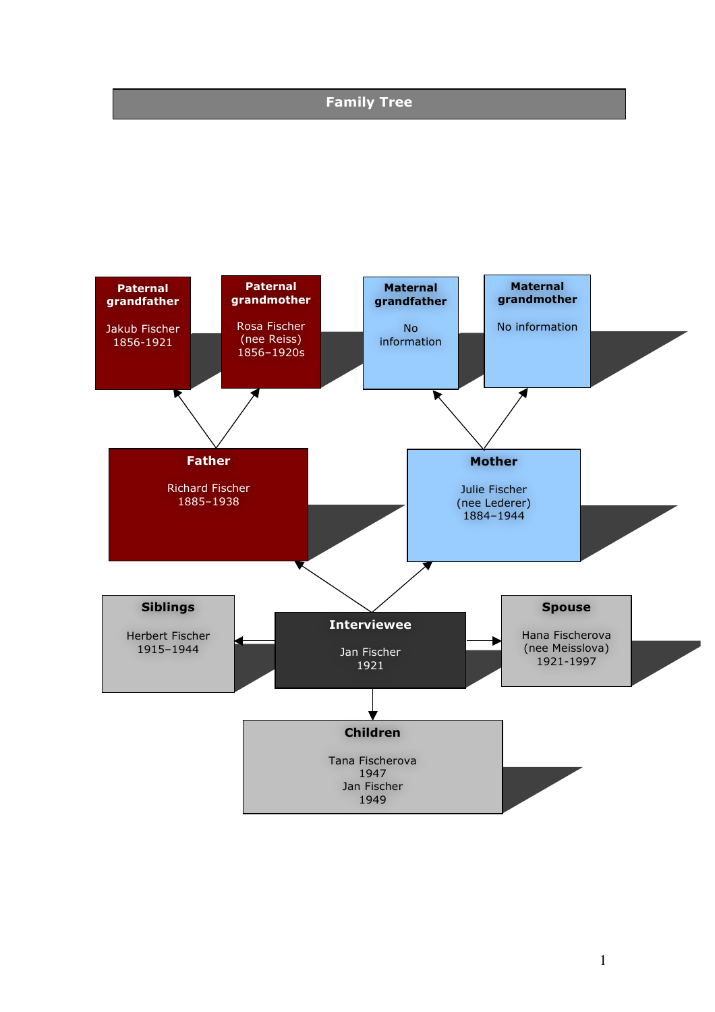# **Family Tree**

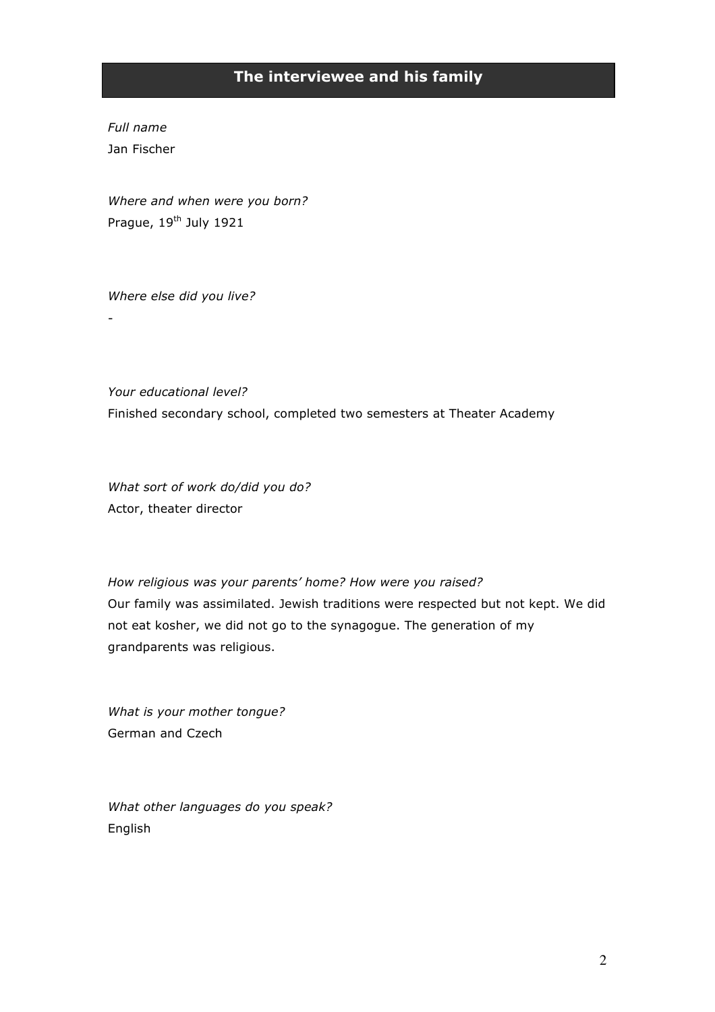# **The interviewee and his family**

*Full name* Jan Fischer

-

*Where and when were you born?* Prague, 19<sup>th</sup> July 1921

*Where else did you live?*

*Your educational level?* Finished secondary school, completed two semesters at Theater Academy

*What sort of work do/did you do?* Actor, theater director

*How religious was your parents' home? How were you raised?* Our family was assimilated. Jewish traditions were respected but not kept. We did not eat kosher, we did not go to the synagogue. The generation of my grandparents was religious.

*What is your mother tongue?* German and Czech

*What other languages do you speak?* English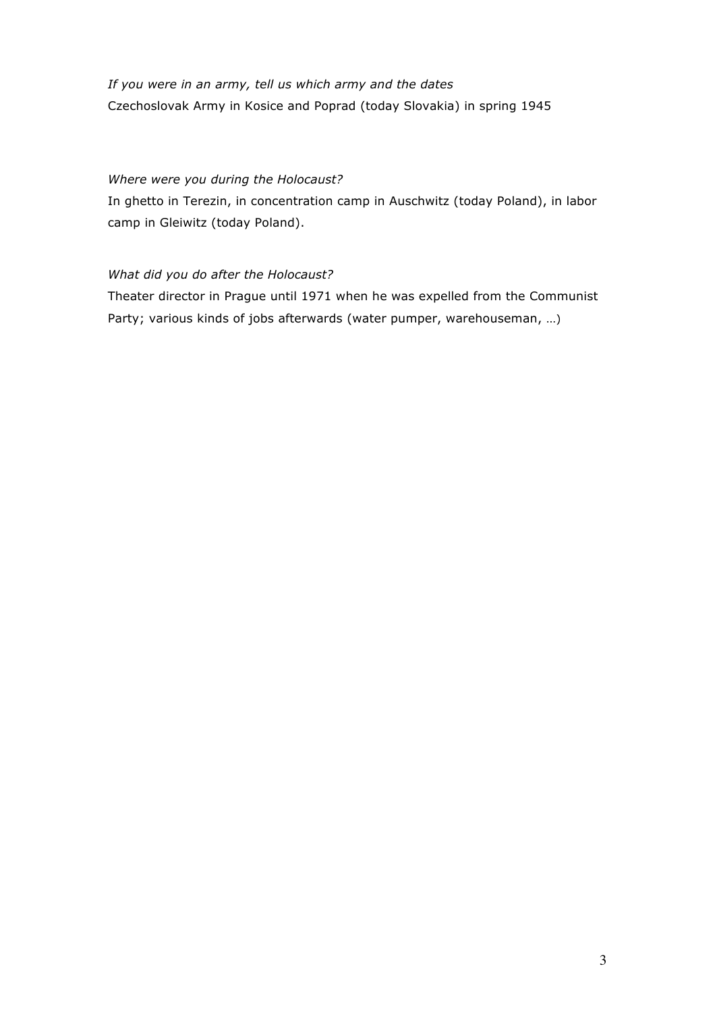# *If you were in an army, tell us which army and the dates* Czechoslovak Army in Kosice and Poprad (today Slovakia) in spring 1945

### *Where were you during the Holocaust?*

In ghetto in Terezin, in concentration camp in Auschwitz (today Poland), in labor camp in Gleiwitz (today Poland).

### *What did you do after the Holocaust?*

Theater director in Prague until 1971 when he was expelled from the Communist Party; various kinds of jobs afterwards (water pumper, warehouseman, …)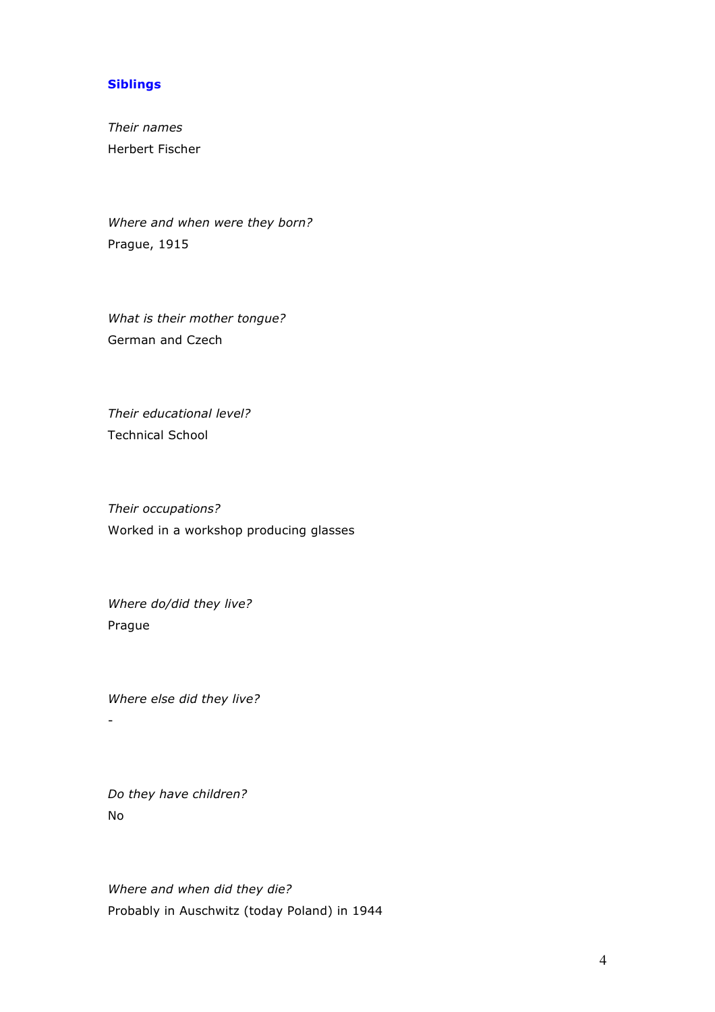#### **Siblings**

*Their names* Herbert Fischer

*Where and when were they born?* Prague, 1915

*What is their mother tongue?* German and Czech

*Their educational level?* Technical School

*Their occupations?* Worked in a workshop producing glasses

*Where do/did they live?*  Prague

*Where else did they live?* -

*Do they have children?* No

*Where and when did they die?* Probably in Auschwitz (today Poland) in 1944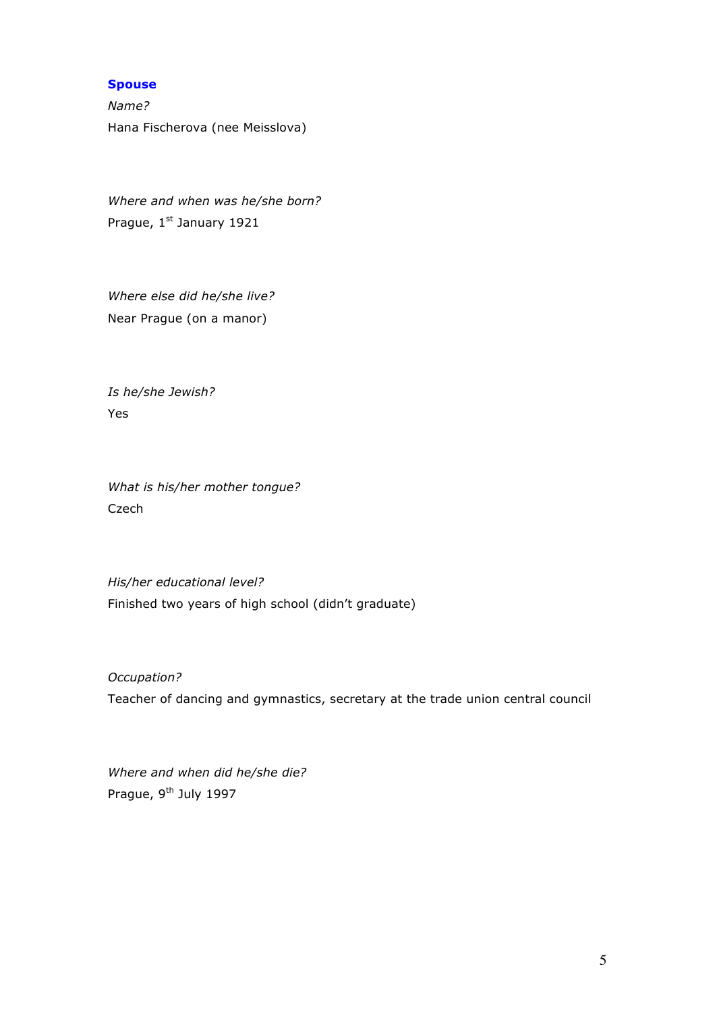#### **Spouse**

*Name?* Hana Fischerova (nee Meisslova)

*Where and when was he/she born?* Prague, 1st January 1921

*Where else did he/she live?* Near Prague (on a manor)

*Is he/she Jewish?* Yes

*What is his/her mother tongue?* Czech

*His/her educational level?* Finished two years of high school (didn't graduate)

*Occupation?* Teacher of dancing and gymnastics, secretary at the trade union central council

*Where and when did he/she die?* Prague, 9<sup>th</sup> July 1997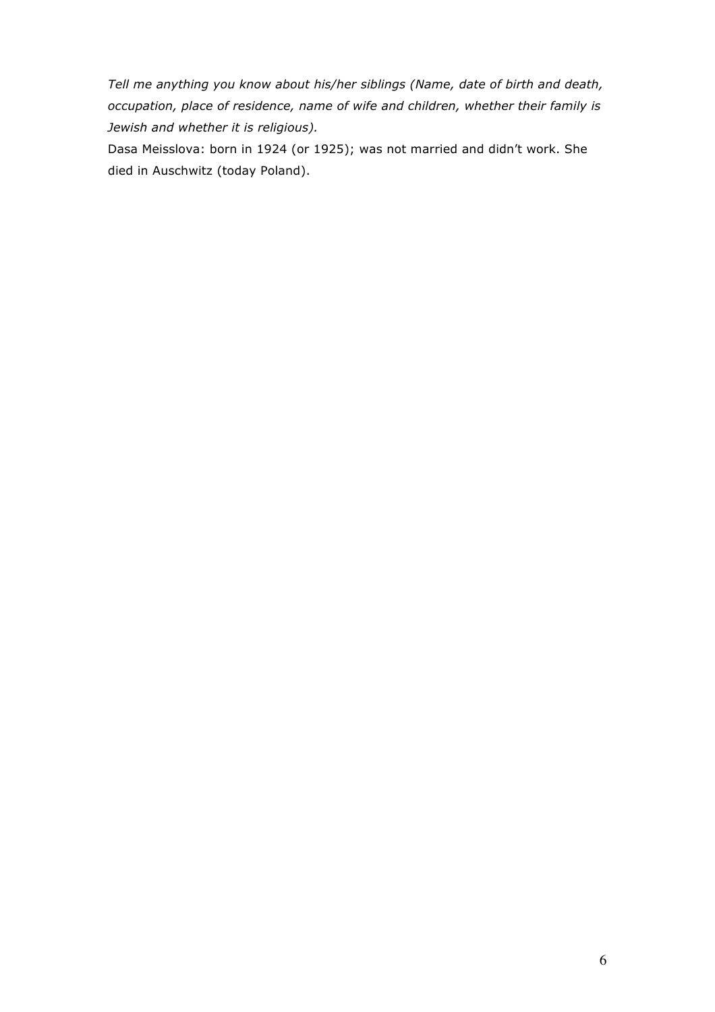*Tell me anything you know about his/her siblings (Name, date of birth and death, occupation, place of residence, name of wife and children, whether their family is Jewish and whether it is religious).*

Dasa Meisslova: born in 1924 (or 1925); was not married and didn't work. She died in Auschwitz (today Poland).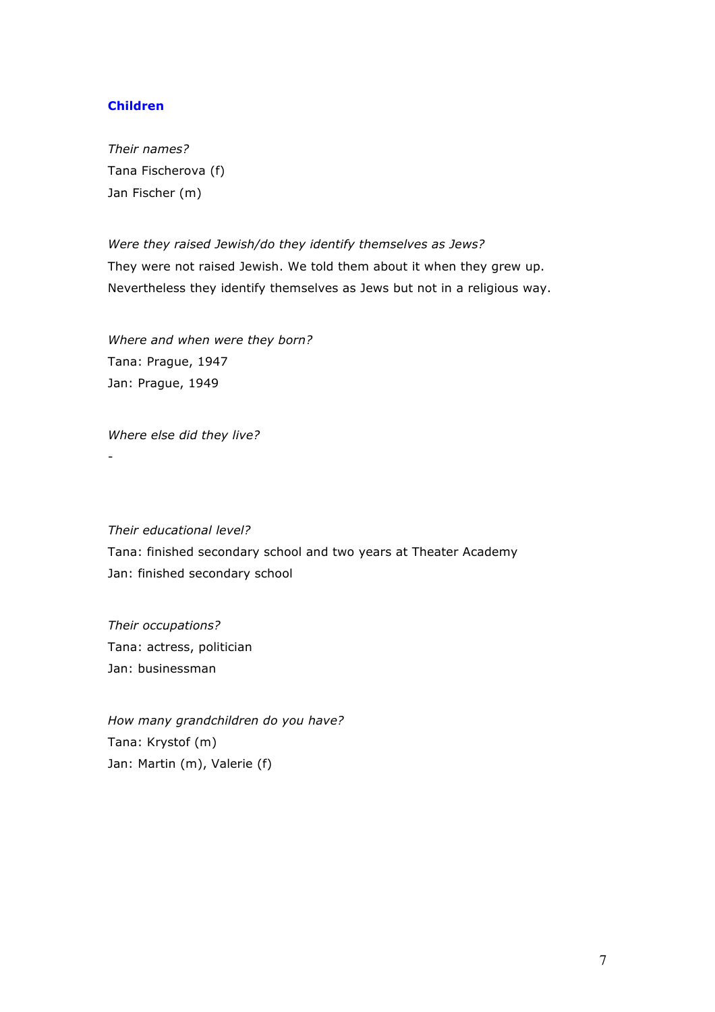#### **Children**

*Their names?* Tana Fischerova (f) Jan Fischer (m)

*Were they raised Jewish/do they identify themselves as Jews?* They were not raised Jewish. We told them about it when they grew up. Nevertheless they identify themselves as Jews but not in a religious way.

*Where and when were they born?* Tana: Prague, 1947 Jan: Prague, 1949

*Where else did they live?*

-

*Their educational level?* Tana: finished secondary school and two years at Theater Academy Jan: finished secondary school

*Their occupations?* Tana: actress, politician Jan: businessman

*How many grandchildren do you have?* Tana: Krystof (m) Jan: Martin (m), Valerie (f)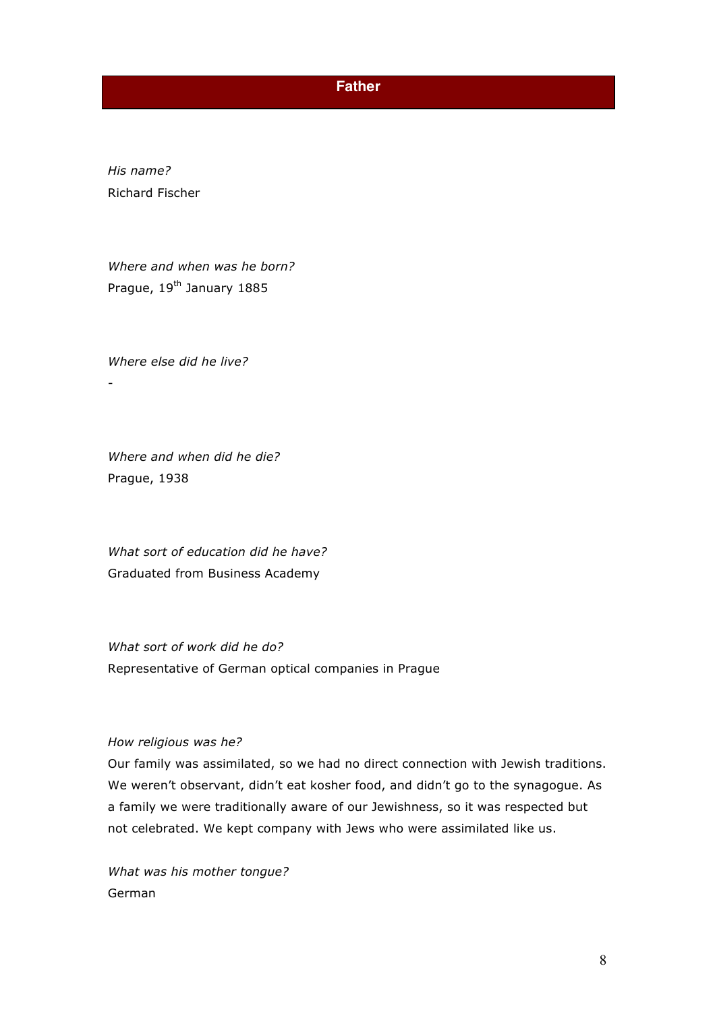### **Father**

*His name?* Richard Fischer

*Where and when was he born?* Prague, 19<sup>th</sup> January 1885

*Where else did he live?* -

*Where and when did he die?* Prague, 1938

*What sort of education did he have?* Graduated from Business Academy

*What sort of work did he do?* Representative of German optical companies in Prague

#### *How religious was he?*

Our family was assimilated, so we had no direct connection with Jewish traditions. We weren't observant, didn't eat kosher food, and didn't go to the synagogue. As a family we were traditionally aware of our Jewishness, so it was respected but not celebrated. We kept company with Jews who were assimilated like us.

*What was his mother tongue?*  German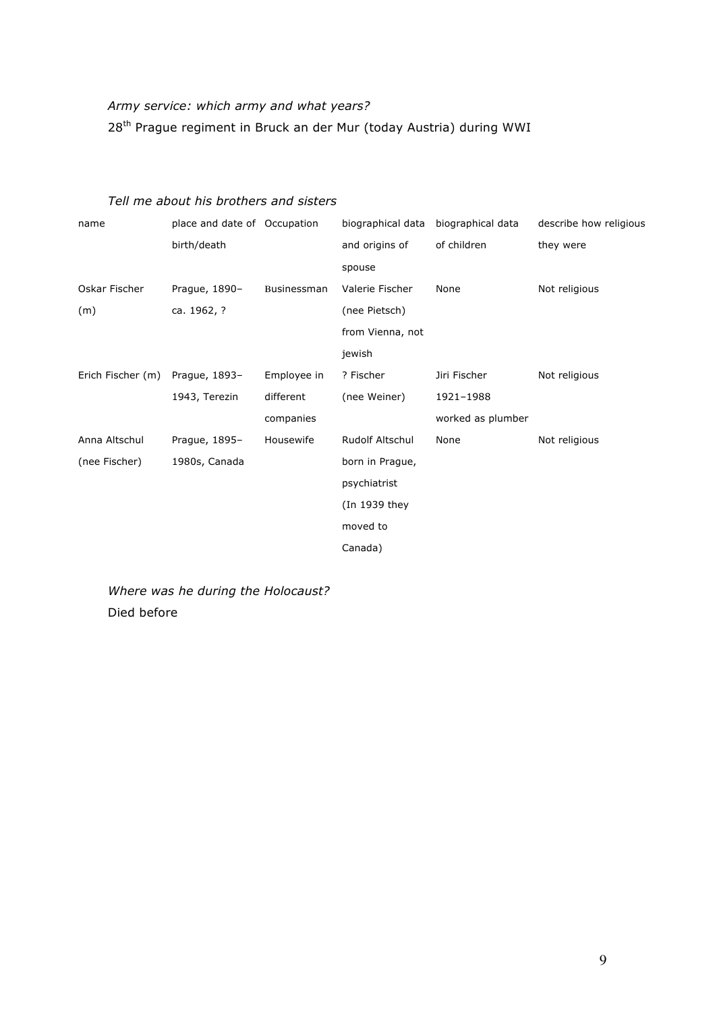# *Army service: which army and what years?* 28<sup>th</sup> Prague regiment in Bruck an der Mur (today Austria) during WWI

### *Tell me about his brothers and sisters*

| name              | place and date of Occupation |             | biographical data | biographical data | describe how religious |
|-------------------|------------------------------|-------------|-------------------|-------------------|------------------------|
|                   | birth/death                  |             | and origins of    | of children       | they were              |
|                   |                              |             | spouse            |                   |                        |
| Oskar Fischer     | Prague, 1890-                | Businessman | Valerie Fischer   | None              | Not religious          |
| (m)               | ca. 1962, ?                  |             | (nee Pietsch)     |                   |                        |
|                   |                              |             | from Vienna, not  |                   |                        |
|                   |                              |             | jewish            |                   |                        |
| Erich Fischer (m) | Prague, 1893-                | Employee in | ? Fischer         | Jiri Fischer      | Not religious          |
|                   | 1943, Terezin                | different   | (nee Weiner)      | 1921-1988         |                        |
|                   |                              | companies   |                   | worked as plumber |                        |
| Anna Altschul     | Prague, 1895-                | Housewife   | Rudolf Altschul   | None              | Not religious          |
| (nee Fischer)     | 1980s, Canada                |             | born in Prague,   |                   |                        |
|                   |                              |             | psychiatrist      |                   |                        |
|                   |                              |             | (In 1939 they     |                   |                        |
|                   |                              |             | moved to          |                   |                        |
|                   |                              |             | Canada)           |                   |                        |
|                   |                              |             |                   |                   |                        |

*Where was he during the Holocaust?* Died before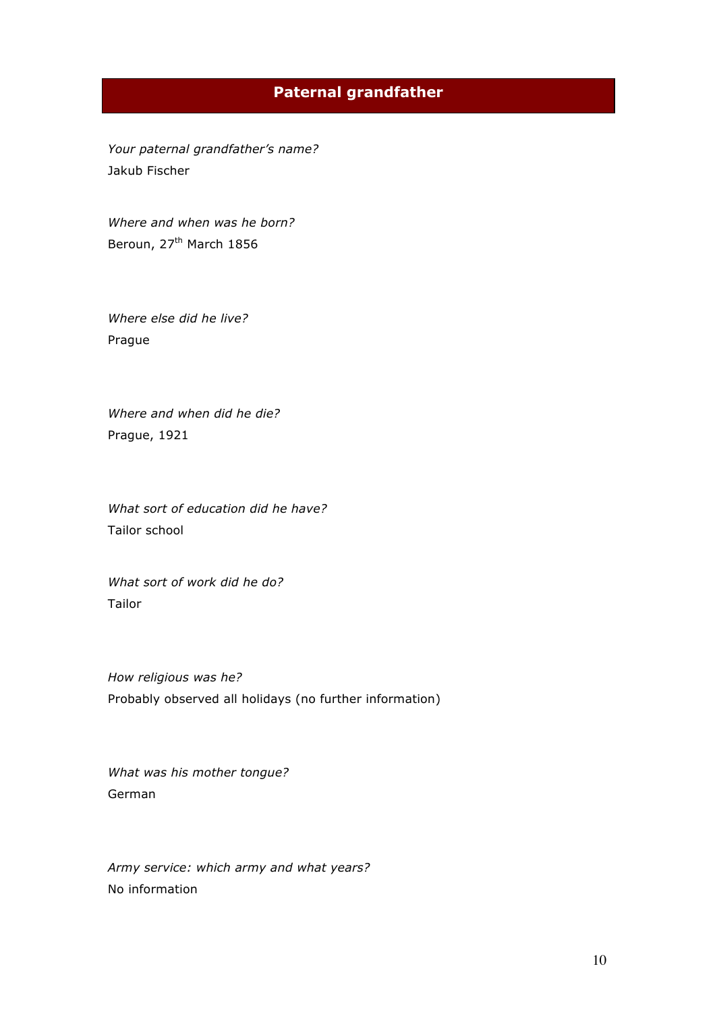## **Paternal grandfather**

*Your paternal grandfather's name?* Jakub Fischer

*Where and when was he born?* Beroun, 27<sup>th</sup> March 1856

*Where else did he live?* Prague

*Where and when did he die?*  Prague, 1921

*What sort of education did he have?* Tailor school

*What sort of work did he do?* Tailor

*How religious was he?*  Probably observed all holidays (no further information)

*What was his mother tongue?*  German

*Army service: which army and what years?* No information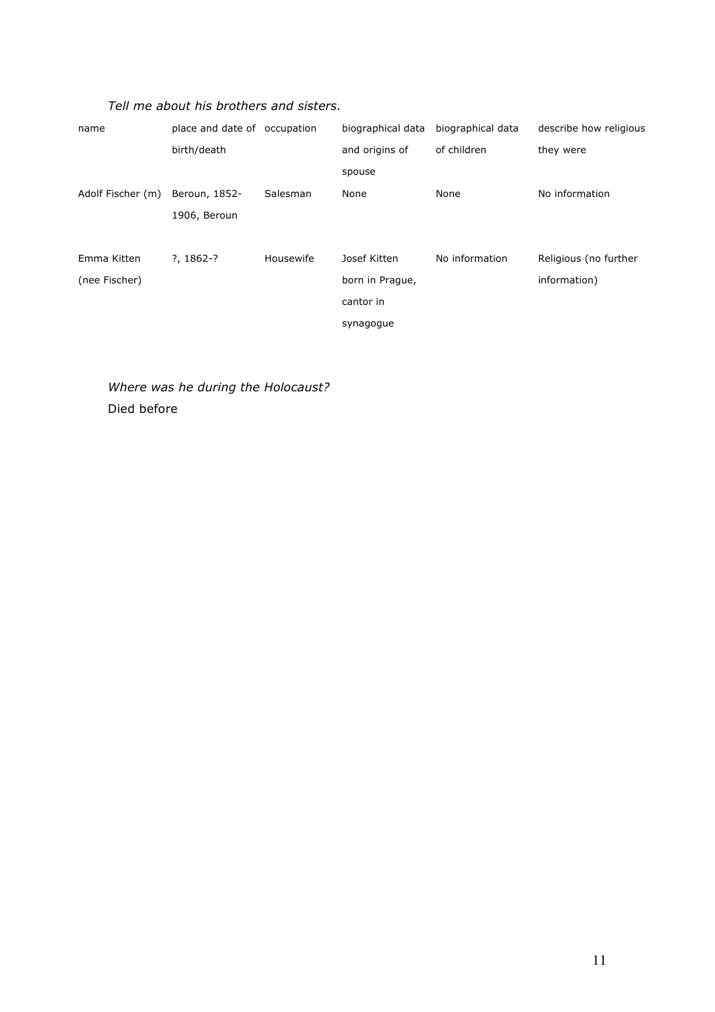| name              | place and date of occupation |           | biographical data | biographical data | describe how religious |
|-------------------|------------------------------|-----------|-------------------|-------------------|------------------------|
|                   | birth/death                  |           | and origins of    | of children       | they were              |
|                   |                              |           | spouse            |                   |                        |
| Adolf Fischer (m) | Beroun, 1852-                | Salesman  | None              | None              | No information         |
|                   | 1906, Beroun                 |           |                   |                   |                        |
|                   |                              |           |                   |                   |                        |
| Emma Kitten       | $?7, 1862-?$                 | Housewife | Josef Kitten      | No information    | Religious (no further  |
| (nee Fischer)     |                              |           | born in Prague,   |                   | information)           |
|                   |                              |           | cantor in         |                   |                        |
|                   |                              |           | synagogue         |                   |                        |

*Where was he during the Holocaust?* Died before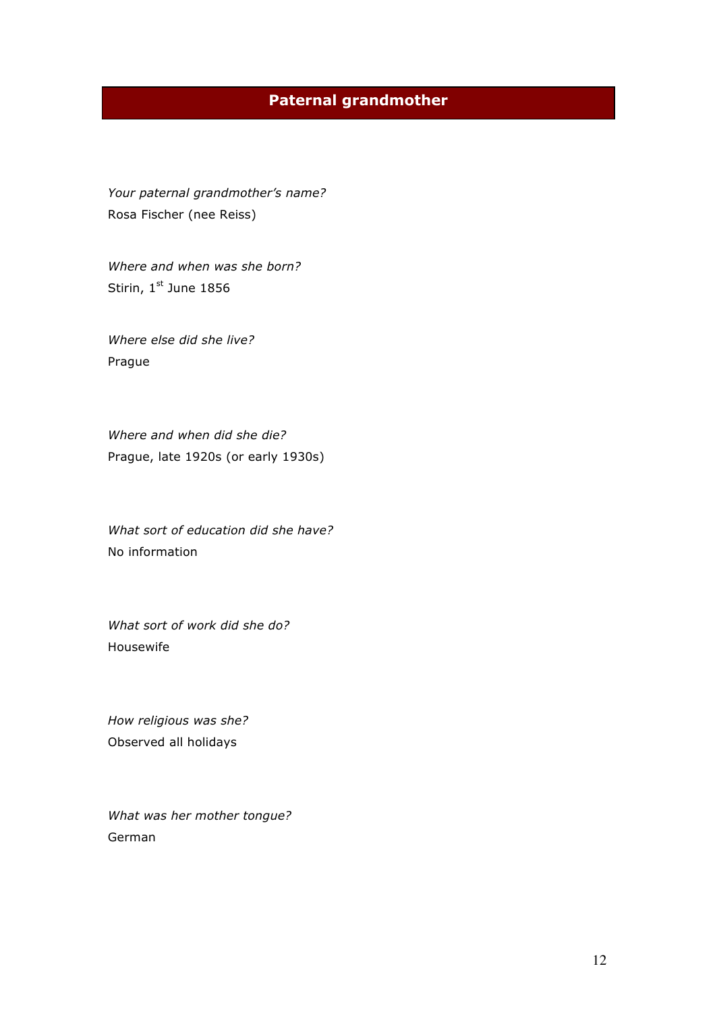# **Paternal grandmother**

*Your paternal grandmother's name?* Rosa Fischer (nee Reiss)

*Where and when was she born?*  Stirin, 1st June 1856

*Where else did she live?* Prague

*Where and when did she die?* Prague, late 1920s (or early 1930s)

*What sort of education did she have?* No information

*What sort of work did she do?* Housewife

*How religious was she?* Observed all holidays

*What was her mother tongue?*  German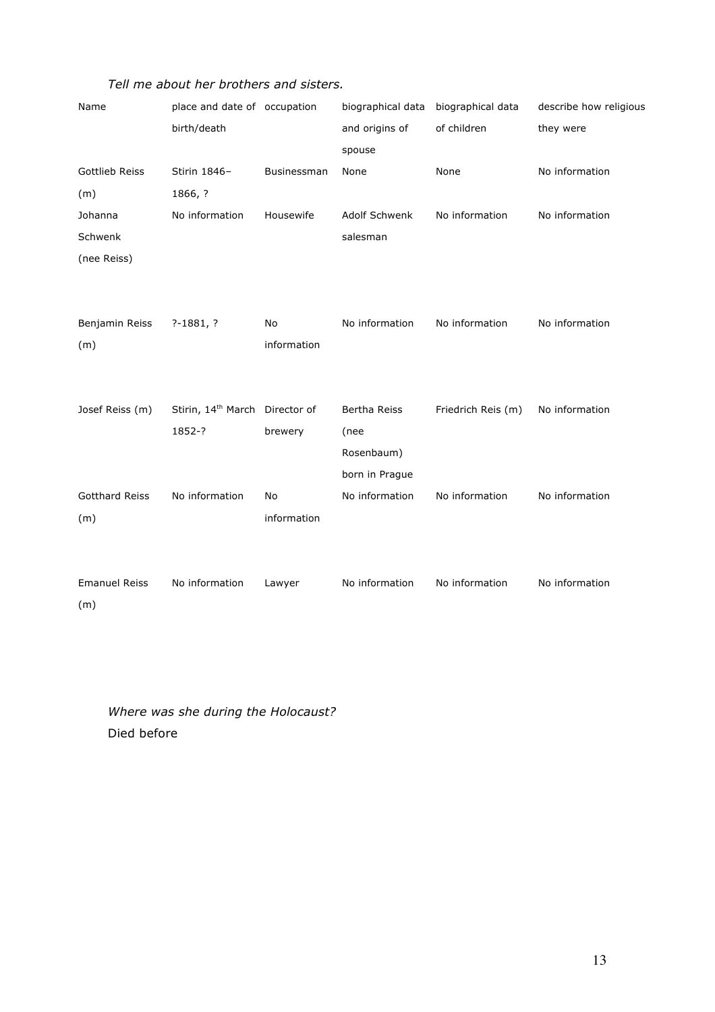| Name                  | place and date of occupation               |             | biographical data biographical data |                    | describe how religious |
|-----------------------|--------------------------------------------|-------------|-------------------------------------|--------------------|------------------------|
|                       | birth/death                                |             | and origins of                      | of children        | they were              |
|                       |                                            |             | spouse                              |                    |                        |
| <b>Gottlieb Reiss</b> | Stirin 1846-                               | Businessman | None                                | None               | No information         |
| (m)                   | 1866, ?                                    |             |                                     |                    |                        |
| Johanna               | No information                             | Housewife   | Adolf Schwenk                       | No information     | No information         |
| Schwenk               |                                            |             | salesman                            |                    |                        |
| (nee Reiss)           |                                            |             |                                     |                    |                        |
|                       |                                            |             |                                     |                    |                        |
|                       |                                            |             |                                     |                    |                        |
| Benjamin Reiss        | $? - 1881, ?$                              | No          | No information                      | No information     | No information         |
| (m)                   |                                            | information |                                     |                    |                        |
|                       |                                            |             |                                     |                    |                        |
|                       |                                            |             |                                     |                    |                        |
| Josef Reiss (m)       | Stirin, 14 <sup>th</sup> March Director of |             | Bertha Reiss                        | Friedrich Reis (m) | No information         |
|                       | 1852-?                                     | brewery     | (nee                                |                    |                        |
|                       |                                            |             | Rosenbaum)                          |                    |                        |
|                       |                                            |             | born in Prague                      |                    |                        |
| <b>Gotthard Reiss</b> | No information                             | No          | No information                      | No information     | No information         |
| (m)                   |                                            | information |                                     |                    |                        |
|                       |                                            |             |                                     |                    |                        |
|                       |                                            |             |                                     |                    |                        |
| <b>Emanuel Reiss</b>  | No information                             | Lawyer      | No information                      | No information     | No information         |
| (m)                   |                                            |             |                                     |                    |                        |

*Where was she during the Holocaust?* Died before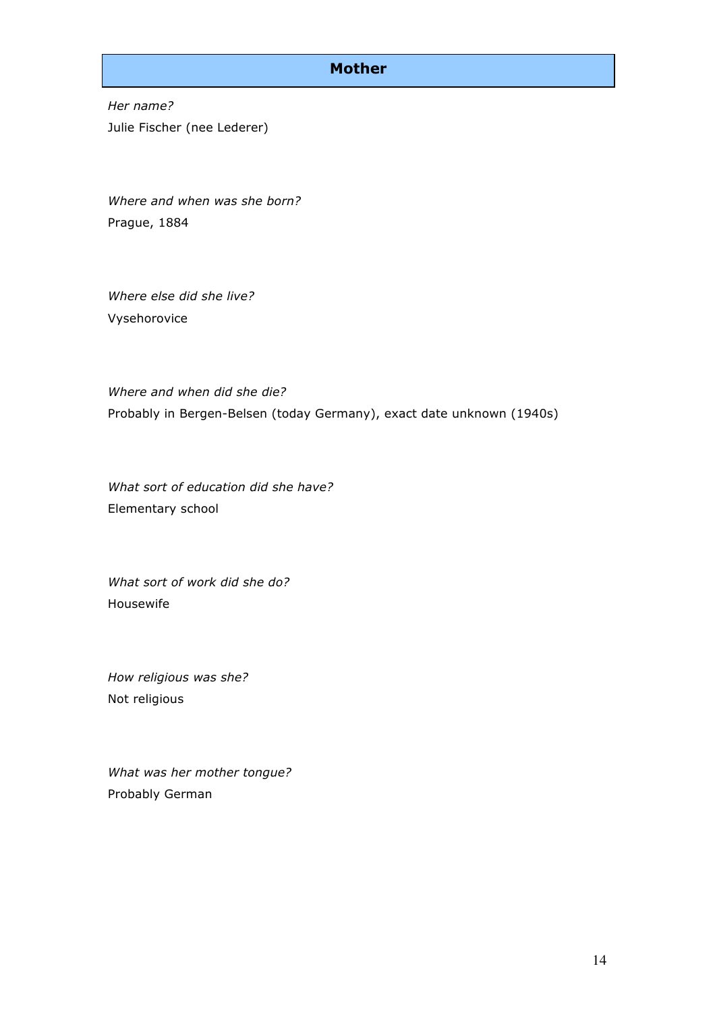### **Mother**

*Her name?* Julie Fischer (nee Lederer)

*Where and when was she born?* Prague, 1884

*Where else did she live?* Vysehorovice

*Where and when did she die?* Probably in Bergen-Belsen (today Germany), exact date unknown (1940s)

*What sort of education did she have?* Elementary school

*What sort of work did she do?* Housewife

*How religious was she?* Not religious

*What was her mother tongue?*  Probably German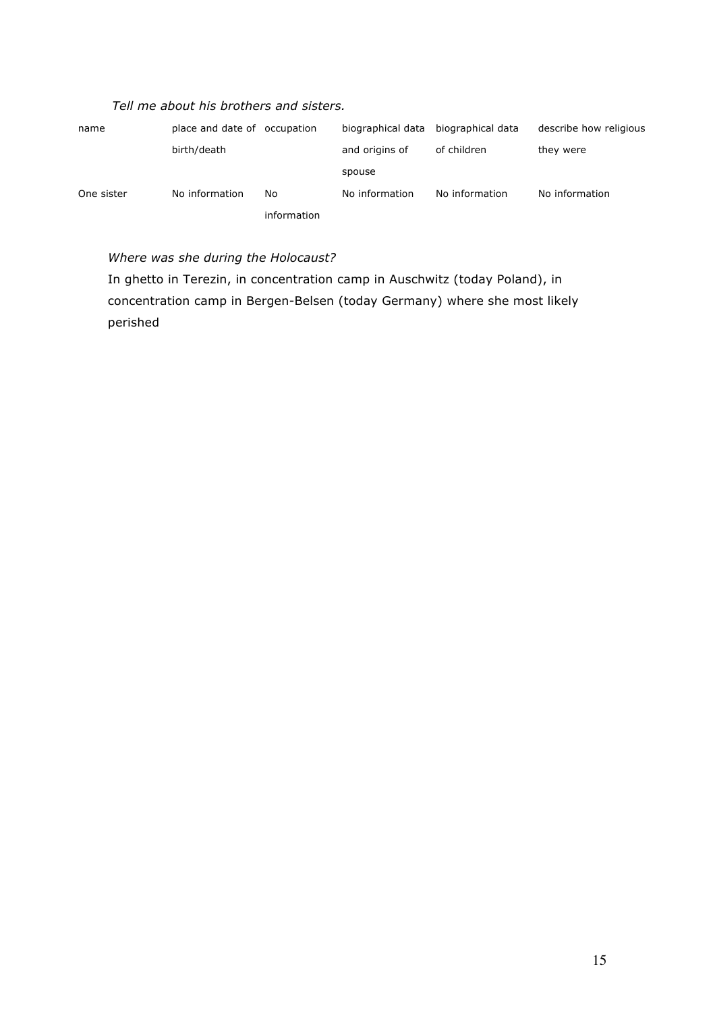| name       | place and date of occupation |             | biographical data | biographical data | describe how religious |
|------------|------------------------------|-------------|-------------------|-------------------|------------------------|
|            | birth/death                  |             | and origins of    | of children       | they were              |
|            |                              |             | spouse            |                   |                        |
| One sister | No information               | No.         | No information    | No information    | No information         |
|            |                              | information |                   |                   |                        |

### *Where was she during the Holocaust?*

In ghetto in Terezin, in concentration camp in Auschwitz (today Poland), in concentration camp in Bergen-Belsen (today Germany) where she most likely perished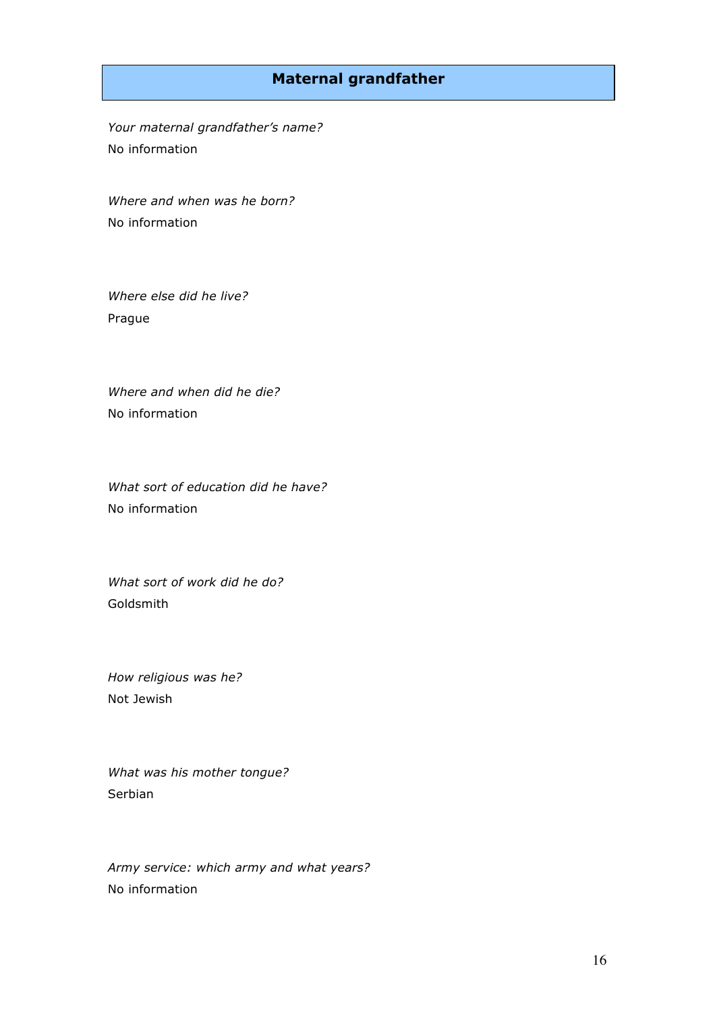## **Maternal grandfather**

*Your maternal grandfather's name?*  No information

*Where and when was he born?* No information

*Where else did he live?* Prague

*Where and when did he die?*  No information

*What sort of education did he have?* No information

*What sort of work did he do?* Goldsmith

*How religious was he?*  Not Jewish

*What was his mother tongue?*  Serbian

*Army service: which army and what years?* No information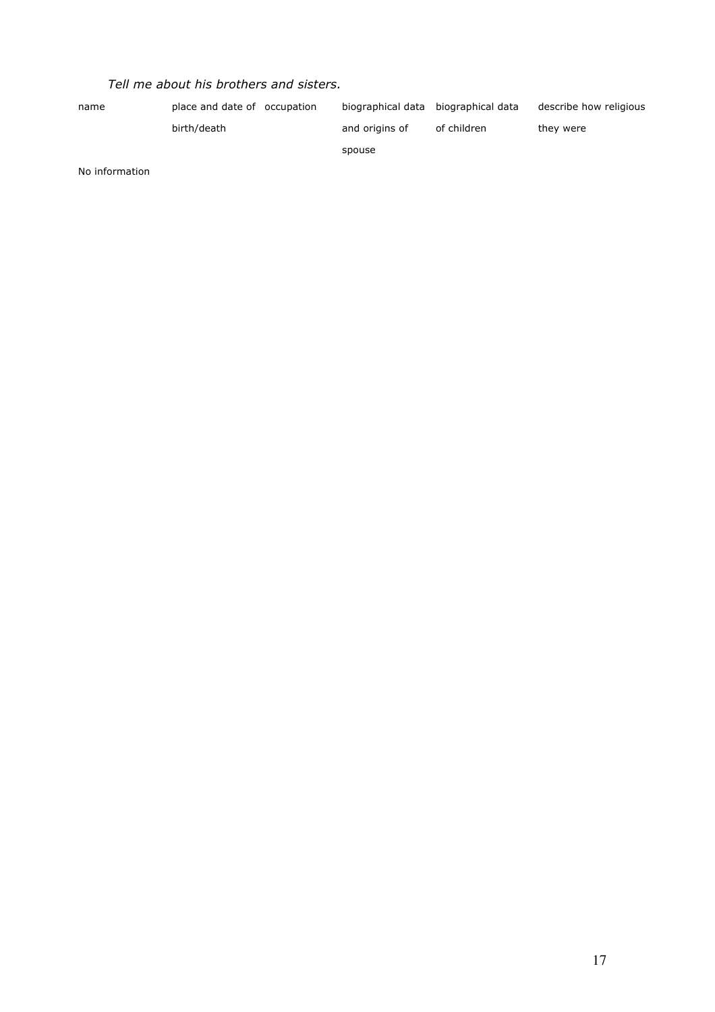| name | place and date of occupation | biographical data biographical data |             | describe how religious |
|------|------------------------------|-------------------------------------|-------------|------------------------|
|      | birth/death                  | and origins of                      | of children | they were              |
|      |                              | spouse                              |             |                        |

No information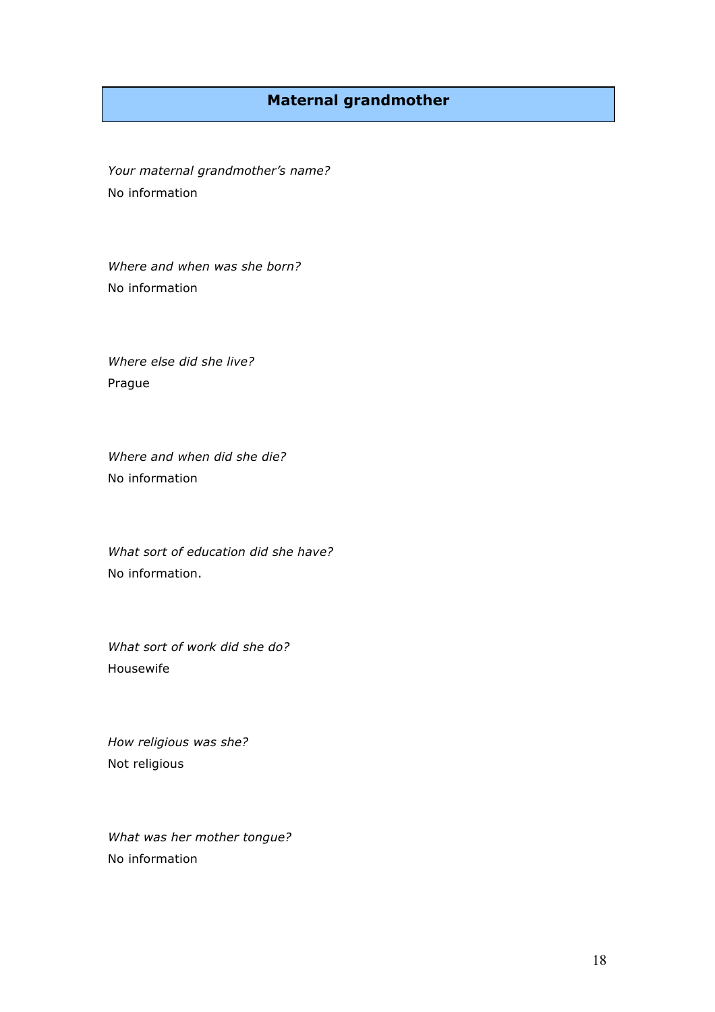## **Maternal grandmother**

*Your maternal grandmother's name?* No information

*Where and when was she born?* No information

*Where else did she live?* Prague

*Where and when did she die?* No information

*What sort of education did she have?* No information.

*What sort of work did she do?* Housewife

*How religious was she?*  Not religious

*What was her mother tongue?*  No information